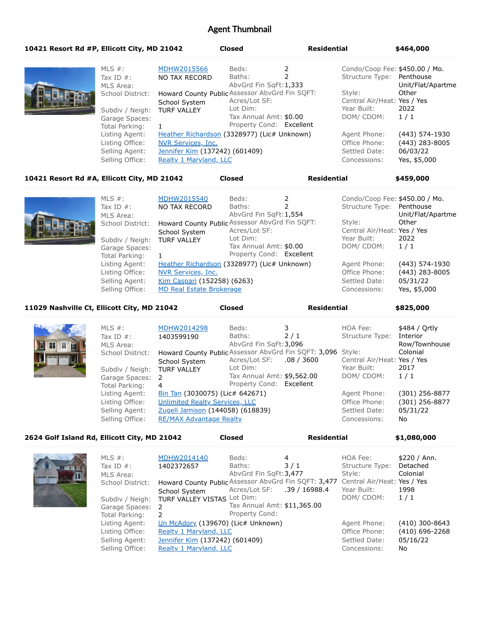# Agent Thumbnail

| 10421 Resort Rd #P, Ellicott City, MD 21042 |                  |                                                | <b>Closed</b> |                          | <b>Residential</b>          | \$464,000                      |
|---------------------------------------------|------------------|------------------------------------------------|---------------|--------------------------|-----------------------------|--------------------------------|
|                                             | MLS $\#$ :       | MDHW2015566                                    | Beds:         |                          |                             | Condo/Coop Fee: \$450.00 / Mo. |
|                                             | Tax ID $#$ :     | NO TAX RECORD                                  | Baths:        |                          | Structure Type: Penthouse   |                                |
|                                             | MLS Area:        |                                                |               | AbvGrd Fin SqFt: 1,333   |                             | Unit/Flat/Apartme              |
|                                             | School District: | Howard County Public Assessor AbvGrd Fin SQFT: |               |                          | Style:                      | Other                          |
|                                             |                  | School System                                  | Acres/Lot SF: |                          | Central Air/Heat: Yes / Yes |                                |
|                                             | Subdiv / Neigh:  | <b>TURF VALLEY</b>                             | Lot Dim:      |                          | Year Built:                 | 2022                           |
|                                             | Garage Spaces:   |                                                |               | Tax Annual Amt: \$0.00   | DOM/CDOM:                   | 1/1                            |
|                                             | Total Parking:   |                                                |               | Property Cond: Excellent |                             |                                |
|                                             | Listing Agent:   | Heather Richardson (3328977) (Lic# Unknown)    |               |                          | Agent Phone:                | (443) 574-1930                 |
|                                             | Listing Office:  | NVR Services, Inc.                             |               |                          | Office Phone:               | (443) 283-8005                 |
|                                             | Selling Agent:   | Jennifer Kim (137242) (601409)                 |               |                          | Settled Date:               | 06/03/22                       |
|                                             | Selling Office:  | Realty 1 Maryland, LLC                         |               |                          | Concessions:                | Yes, \$5,000                   |

#### **10421 Resort Rd #A, Ellicott City, MD 21042 Closed Residential \$459,000**

| MLS $#$ :<br>Tax ID $#$ :<br>MLS Area:<br>School District:<br>Subdiv / Neigh:<br>Garage Spaces:<br>Total Parking: | MDHW2015540<br>NO TAX RECORD<br>Howard County Public Assessor AbvGrd Fin SQFT:<br>School System<br><b>TURF VALLEY</b>               | Beds:<br>Baths:<br>AbvGrd Fin SqFt: 1,554<br>Acres/Lot SF:<br>Lot Dim:<br>Tax Annual Amt: \$0.00<br>Property Cond: Excellent | Condo/Coop Fee: \$450.00 / Mo.<br>Structure Type: Penthouse<br>Style:<br>Central Air/Heat: Yes / Yes<br>Year Built:<br>DOM/CDOM: | Unit/Flat/Apartme<br>Other<br>2022<br>1/1                      |
|-------------------------------------------------------------------------------------------------------------------|-------------------------------------------------------------------------------------------------------------------------------------|------------------------------------------------------------------------------------------------------------------------------|----------------------------------------------------------------------------------------------------------------------------------|----------------------------------------------------------------|
| Listing Agent:<br>Listing Office:<br>Selling Agent:<br>Selling Office:                                            | Heather Richardson (3328977) (Lic# Unknown)<br>NVR Services, Inc.<br>Kim Caspari (152258) (6263)<br><b>MD Real Estate Brokerage</b> |                                                                                                                              | Agent Phone:<br>Office Phone:<br>Settled Date:<br>Concessions:                                                                   | (443) 574-1930<br>$(443)$ 283-8005<br>05/31/22<br>Yes, \$5,000 |

**11029 Nashville Ct, Ellicott City, MD 21042 Closed Residential \$825,000**

MLS #: MDHW2014298 Tax ID #: 1403599190 MLS Area: School District: Howard County Public Assessor AbvGrd Fin SQFT: 3,096 School System Subdiv / Neigh: TURF VALLEY Garage Spaces: 2 Total Parking: 4 Beds: 3 Baths: 2 / 1 AbvGrd Fin SqFt:3,096 Acres/Lot SF: .08 / 3600 Lot Dim: Tax Annual Amt: \$9,562.00 Property Cond: Excellent HOA Fee: \$484 / Ortly Structure Type: Interior Row/Townhouse Colonial Central Air/Heat: Yes / Yes Year Built: 2017 DOM/ CDOM: 1 / 1 Listing Agent: **Bin Tan (3030075) (Lic# 642671)** Agent Phone: (301) 256-8877 Listing Office: Unlimited Realty Services, LLC Office Phone: (301) 256-8877 Selling Agent: Zugell Jamison (144058) (618839) Settled Date: 05/31/22 Selling Office: RE/MAX Advantage Realty Concessions: No

#### **2624 Golf Island Rd, Ellicott City, MD 21042 Closed Residential \$1,080,000**

| <u>Cound West 1</u> | MLS $#$ :<br>Tax ID $#$ :<br>MLS Area:<br>School District:<br>Subdiv / Neigh:<br>Garage Spaces: 2<br>Total Parking:<br>Listing Agent:<br>Listing Office: | MDHW2014140<br>1402372657<br>Howard County Public Assessor AbvGrd Fin SQFT: 3,477 Central Air/Heat: Yes / Yes<br>School System<br>TURF VALLEY VISTAS Lot Dim:<br>2<br>Un McAdory (139670) (Lic# Unknown)<br>Realty 1 Maryland, LLC | Beds:<br>Baths:<br>AbvGrd Fin SqFt: 3,477<br>Acres/Lot SF:<br>Tax Annual Amt: \$11,365.00<br>Property Cond: | 4<br>3/1<br>.39 / 16988.4 | HOA Fee:<br>Structure Type:<br>Style:<br>Year Built:<br>DOM/CDOM:<br>Agent Phone:<br>Office Phone: | \$220 / Ann.<br>Detached<br>Colonial<br>1998<br>1/1<br>$(410)$ 300-8643<br>$(410)$ 696-2268 |
|---------------------|----------------------------------------------------------------------------------------------------------------------------------------------------------|------------------------------------------------------------------------------------------------------------------------------------------------------------------------------------------------------------------------------------|-------------------------------------------------------------------------------------------------------------|---------------------------|----------------------------------------------------------------------------------------------------|---------------------------------------------------------------------------------------------|
|                     | Selling Agent:<br>Selling Office:                                                                                                                        | Jennifer Kim (137242) (601409)<br>Realty 1 Maryland, LLC                                                                                                                                                                           |                                                                                                             |                           | Settled Date:<br>Concessions:                                                                      | 05/16/22<br>No.                                                                             |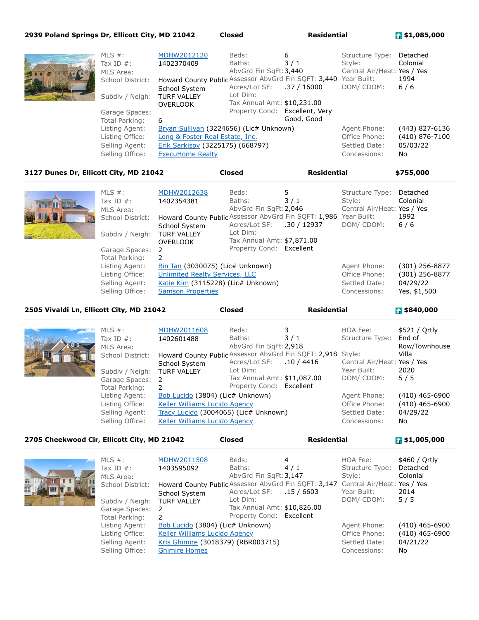| 2939 Poland Springs Dr, Ellicott City, MD 21042 |                                   |                                                                                   | <b>Closed</b>                                                             | <b>Residential</b> |                                                          | $\frac{1}{2}$ \$1,085,000 |
|-------------------------------------------------|-----------------------------------|-----------------------------------------------------------------------------------|---------------------------------------------------------------------------|--------------------|----------------------------------------------------------|---------------------------|
|                                                 | MLS $#$ :<br>Tax ID $#$ :         | MDHW2012120<br>1402370409                                                         | Beds:<br>Baths:<br>AbvGrd Fin SqFt: 3,440                                 | 6<br>3/1           | Structure Type:<br>Style:<br>Central Air/Heat: Yes / Yes | Detached<br>Colonial      |
|                                                 | MLS Area:<br>School District:     | Howard County Public Assessor AbvGrd Fin SQFT: 3,440 Year Built:<br>School System | Acres/Lot SF: .37 / 16000                                                 |                    | DOM/CDOM:                                                | 1994<br>$6/6$             |
|                                                 | Subdiv / Neigh:<br>Garage Spaces: | <b>TURF VALLEY</b><br><b>OVERLOOK</b>                                             | Lot Dim:<br>Tax Annual Amt: \$10,231.00<br>Property Cond: Excellent, Very |                    |                                                          |                           |
|                                                 | Total Parking:                    | 6                                                                                 |                                                                           | Good, Good         |                                                          |                           |
|                                                 | Listing Agent:                    | Bryan Sullivan (3224656) (Lic# Unknown)                                           |                                                                           |                    | Agent Phone:                                             | (443) 827-6136            |
|                                                 | Listing Office:                   | Long & Foster Real Estate, Inc.                                                   |                                                                           |                    | Office Phone:                                            | (410) 876-7100            |
|                                                 | Selling Agent:                    | Erik Sarkisov (3225175) (668797)                                                  |                                                                           |                    | Settled Date:                                            | 05/03/22                  |
|                                                 | Selling Office:                   | <b>ExecuHome Realty</b>                                                           |                                                                           |                    | Concessions:                                             | No                        |

## **3127 Dunes Dr, Ellicott City, MD 21042 Closed Residential \$755,000**

| <b>BACK THE BELL</b> | MLS $#$ :<br>Tax ID $#$ :<br>MLS Area:<br>School District:<br>Subdiv / Neigh:<br>Garage Spaces: 2<br>Total Parking:<br>Listing Agent:<br>Listing Office:<br>Selling Agent:<br>Selling Office: | MDHW2012638<br>1402354381<br>Howard County Public Assessor AbvGrd Fin SQFT: 1,986 Year Built:<br>School System<br><b>TURF VALLEY</b><br><b>OVERLOOK</b><br>2<br>Bin Tan (3030075) (Lic# Unknown)<br><b>Unlimited Realty Services, LLC</b><br>Katie Kim (3115228) (Lic# Unknown)<br><b>Samson Properties</b> | Beds:<br>Baths:<br>AbvGrd Fin SqFt: 2,046<br>Acres/Lot SF:<br>Lot Dim:<br>Tax Annual Amt: \$7,871.00<br>Property Cond: Excellent | 5<br>3/1<br>.30 / 12937 | Structure Type:<br>Style:<br>Central Air/Heat: Yes / Yes<br>DOM/CDOM:<br>Agent Phone:<br>Office Phone:<br>Settled Date:<br>Concessions: | Detached<br>Colonial<br>1992<br>$6/6$<br>$(301)$ 256-8877<br>(301) 256-8877<br>04/29/22<br>Yes, \$1,500 |
|----------------------|-----------------------------------------------------------------------------------------------------------------------------------------------------------------------------------------------|-------------------------------------------------------------------------------------------------------------------------------------------------------------------------------------------------------------------------------------------------------------------------------------------------------------|----------------------------------------------------------------------------------------------------------------------------------|-------------------------|-----------------------------------------------------------------------------------------------------------------------------------------|---------------------------------------------------------------------------------------------------------|
|                      |                                                                                                                                                                                               |                                                                                                                                                                                                                                                                                                             |                                                                                                                                  |                         |                                                                                                                                         |                                                                                                         |

**2505 Vivaldi Ln, Ellicott City, MD 21042 Closed Residential \$840,000**

| MLS $#$ :<br>Tax ID $#$ :<br>MLS Area:<br>School District:<br>Subdiv / Neigh: TURF VALLEY<br>Garage Spaces: 2<br>Total Parking: | MDHW2011608<br>1402601488<br>Howard County Public Assessor AbvGrd Fin SQFT: 2,918 Style:<br>School System<br>2                                     | Beds:<br>Baths:<br>AbvGrd Fin SqFt: 2,918<br>Acres/Lot SF:<br>Lot Dim:<br>Tax Annual Amt: \$11,087.00<br>Property Cond: Excellent | 3/1<br>.10 / 4416 | HOA Fee:<br>Structure Type:<br>Central Air/Heat: Yes / Yes<br>Year Built:<br>DOM/CDOM: | \$521 / Qrtly<br>End of<br>Row/Townhouse<br>Villa<br>2020<br>5/5 |
|---------------------------------------------------------------------------------------------------------------------------------|----------------------------------------------------------------------------------------------------------------------------------------------------|-----------------------------------------------------------------------------------------------------------------------------------|-------------------|----------------------------------------------------------------------------------------|------------------------------------------------------------------|
| Listing Agent:<br>Listing Office:<br>Selling Agent:<br>Selling Office:                                                          | Bob Lucido (3804) (Lic# Unknown)<br><b>Keller Williams Lucido Agency</b><br>Tracy Lucido (3004065) (Lic# Unknown)<br>Keller Williams Lucido Agency |                                                                                                                                   |                   | Agent Phone:<br>Office Phone:<br>Settled Date:<br>Concessions:                         | $(410)$ 465-6900<br>$(410)$ 465-6900<br>04/29/22<br>No           |

# **2705 Cheekwood Cir, Ellicott City, MD 21042 Closed Residential \$1,005,000**

| HH. | MLS $\#$ :<br>Tax ID $#$ :<br>MLS Area:<br>School District:<br>Subdiv / Neigh:<br>Garage Spaces:<br>Total Parking:<br>Listing Agent:<br>Listing Office:<br>Selling Agent:<br>Selling Office: | MDHW2011508<br>1403595092<br>Howard County Public Assessor AbvGrd Fin SQFT: 3,147 Central Air/Heat: Yes / Yes<br>School System<br><b>TURF VALLEY</b><br>- 2<br>Bob Lucido (3804) (Lic# Unknown)<br>Keller Williams Lucido Agency<br>Kris Ghimire (3018379) (RBR003715)<br><b>Ghimire Homes</b> | Beds:<br>Baths:<br>AbvGrd Fin SqFt: 3,147<br>Acres/Lot SF:<br>Lot Dim:<br>Tax Annual Amt: \$10,826.00<br>Property Cond: Excellent | 4<br>4/1<br>.15/6603 | HOA Fee:<br>Structure Type:<br>Style:<br>Year Built:<br>DOM/CDOM:<br>Agent Phone:<br>Office Phone:<br>Settled Date:<br>Concessions: | \$460 / Ortly<br>Detached<br>Colonial<br>2014<br>5/5<br>$(410)$ 465-6900<br>$(410)$ 465-6900<br>04/21/22<br>No |
|-----|----------------------------------------------------------------------------------------------------------------------------------------------------------------------------------------------|------------------------------------------------------------------------------------------------------------------------------------------------------------------------------------------------------------------------------------------------------------------------------------------------|-----------------------------------------------------------------------------------------------------------------------------------|----------------------|-------------------------------------------------------------------------------------------------------------------------------------|----------------------------------------------------------------------------------------------------------------|
|-----|----------------------------------------------------------------------------------------------------------------------------------------------------------------------------------------------|------------------------------------------------------------------------------------------------------------------------------------------------------------------------------------------------------------------------------------------------------------------------------------------------|-----------------------------------------------------------------------------------------------------------------------------------|----------------------|-------------------------------------------------------------------------------------------------------------------------------------|----------------------------------------------------------------------------------------------------------------|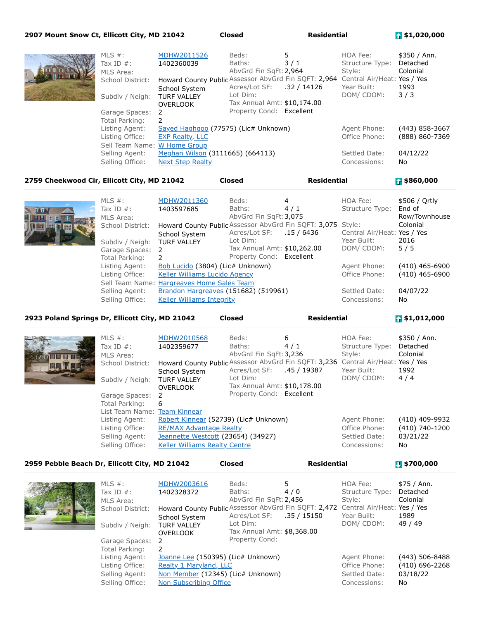### **2907 Mount Snow Ct, Ellicott City, MD 21042 Closed Residential \$1,020,000**

| MLS $#$ :<br>Tax ID $#$ :<br>MLS Area:<br>School District:<br>Subdiv / Neigh: TURF VALLEY | MDHW2011526<br>1402360039<br>Howard County Public Assessor AbvGrd Fin SQFT: 2,964 Central Air/Heat: Yes / Yes<br>School System<br><b>OVERLOOK</b> | Beds:<br>Baths:<br>AbvGrd Fin SqFt: 2,964<br>Acres/Lot SF: .32 / 14126<br>Lot Dim:<br>Tax Annual Amt: \$10,174.00 | 5<br>3/1 | HOA Fee:<br>Structure Type:<br>Style:<br>Year Built:<br>DOM/CDOM: | \$350 / Ann.<br>Detached<br>Colonial<br>1993<br>3/3 |
|-------------------------------------------------------------------------------------------|---------------------------------------------------------------------------------------------------------------------------------------------------|-------------------------------------------------------------------------------------------------------------------|----------|-------------------------------------------------------------------|-----------------------------------------------------|
| Garage Spaces:<br>Total Parking:                                                          | - 2<br>$\mathcal{L}$                                                                                                                              | Property Cond: Excellent                                                                                          |          |                                                                   |                                                     |
| Listing Agent:<br>Listing Office:<br>Sell Team Name: W Home Group                         | Sayed Haghgoo (77575) (Lic# Unknown)<br><b>EXP Realty, LLC</b>                                                                                    |                                                                                                                   |          | Agent Phone:<br>Office Phone:                                     | (443) 858-3667<br>(888) 860-7369                    |
| Selling Agent:<br>Selling Office:                                                         | Meghan Wilson (3111665) (664113)<br><b>Next Step Realty</b>                                                                                       |                                                                                                                   |          | Settled Date:<br>Concessions:                                     | 04/12/22<br>No                                      |

**2759 Cheekwood Cir, Ellicott City, MD 21042 Closed Residential \$860,000**

| DIM<br><b>EILIE</b><br>用 出 | MLS $#$ :<br>Tax ID $#$ :<br>MLS Area:<br>School District:<br>Subdiv / Neigh:<br>Garage Spaces:<br>Total Parking:<br>Listing Agent: | MDHW2011360<br>1403597685<br>Howard County Public Assessor AbvGrd Fin SQFT: 3,075 Style:<br>School System<br><b>TURF VALLEY</b><br>- 2<br>Bob Lucido (3804) (Lic# Unknown) | Beds:<br>Baths:<br>AbvGrd Fin SqFt: 3,075<br>Acres/Lot SF: .15 / 6436<br>Lot Dim:<br>Tax Annual Amt: \$10,262.00<br>Property Cond: Excellent | 4<br>4/1 | HOA Fee:<br>Structure Type:<br>Central Air/Heat: Yes / Yes<br>Year Built:<br>DOM/CDOM:<br>Agent Phone: | \$506 / Ortly<br>End of<br>Row/Townhouse<br>Colonial<br>2016<br>5/5<br>(410) 465-6900 |
|----------------------------|-------------------------------------------------------------------------------------------------------------------------------------|----------------------------------------------------------------------------------------------------------------------------------------------------------------------------|----------------------------------------------------------------------------------------------------------------------------------------------|----------|--------------------------------------------------------------------------------------------------------|---------------------------------------------------------------------------------------|
|                            | Listing Office:                                                                                                                     | Keller Williams Lucido Agency<br>Sell Team Name: Hargreaves Home Sales Team                                                                                                |                                                                                                                                              |          | Office Phone:                                                                                          | (410) 465-6900                                                                        |
|                            | Selling Agent:<br>Selling Office:                                                                                                   | Brandon Hargreaves (151682) (519961)<br><b>Keller Williams Integrity</b>                                                                                                   |                                                                                                                                              |          | Settled Date:<br>Concessions:                                                                          | 04/07/22<br>No                                                                        |

#### **2923 Poland Springs Dr, Ellicott City, MD 21042 Closed Residential \$1,012,000**

| <b>THE THEFT</b> | MLS $#$ :<br>Tax ID $#$ :<br>MLS Area:<br>School District:<br>Subdiv / Neigh:<br>Garage Spaces: 2<br>Total Parking: | MDHW2010568<br>1402359677<br>Howard County Public Assessor AbvGrd Fin SQFT: 3,236 Central Air/Heat: Yes / Yes<br>School System<br><b>TURF VALLEY</b><br><b>OVERLOOK</b><br>-6 | Beds:<br>Baths:<br>AbvGrd Fin SqFt: 3,236<br>Acres/Lot SF:<br>Lot Dim:<br>Tax Annual Amt: \$10,178.00<br>Property Cond: Excellent | 6<br>4/1<br>.45 / 19387 | HOA Fee:<br>Structure Type:<br>Style:<br>Year Built:<br>DOM/CDOM: | \$350 / Ann.<br>Detached<br>Colonial<br>1992<br>4/4 |
|------------------|---------------------------------------------------------------------------------------------------------------------|-------------------------------------------------------------------------------------------------------------------------------------------------------------------------------|-----------------------------------------------------------------------------------------------------------------------------------|-------------------------|-------------------------------------------------------------------|-----------------------------------------------------|
|                  | List Team Name: Team Kinnear<br>Listing Agent:<br>Listing Office:<br>Selling Agent:<br>Selling Office:              | Robert Kinnear (52739) (Lic# Unknown)<br><b>RE/MAX Advantage Realty</b><br>Jeannette Westcott (23654) (34927)<br><b>Keller Williams Realty Centre</b>                         |                                                                                                                                   |                         | Agent Phone:<br>Office Phone:<br>Settled Date:<br>Concessions:    | (410) 409-9932<br>(410) 740-1200<br>03/21/22<br>No  |

**2959 Pebble Beach Dr, Ellicott City, MD 21042 Closed Residential \$700,000**

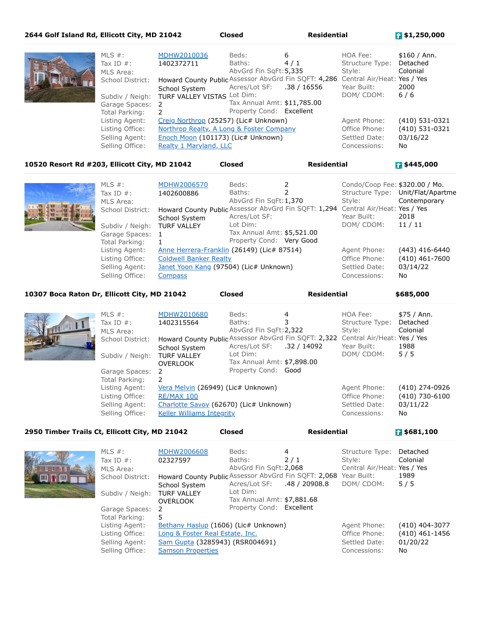| 2644 Golf Island Rd, Ellicott City, MD 21042 |                                                                                                                     |                                                                                                                                                                    | <b>Closed</b>                                                                                                                     | <b>Residential</b> |                                                                   | $\frac{1}{2}$ \$1,250,000                             |
|----------------------------------------------|---------------------------------------------------------------------------------------------------------------------|--------------------------------------------------------------------------------------------------------------------------------------------------------------------|-----------------------------------------------------------------------------------------------------------------------------------|--------------------|-------------------------------------------------------------------|-------------------------------------------------------|
|                                              | MLS $#$ :<br>Tax ID $#$ :<br>MLS Area:<br>School District:<br>Subdiv / Neigh:<br>Garage Spaces: 2<br>Total Parking: | MDHW2010036<br>1402372711<br>Howard County Public Assessor AbvGrd Fin SQFT: 4,286 Central Air/Heat: Yes / Yes<br>School System<br>TURF VALLEY VISTAS Lot Dim:<br>2 | Beds:<br>Baths:<br>AbvGrd Fin SqFt: 5,335<br>Acres/Lot SF: .38 / 16556<br>Tax Annual Amt: \$11,785.00<br>Property Cond: Excellent | 6<br>4/1           | HOA Fee:<br>Structure Type:<br>Style:<br>Year Built:<br>DOM/CDOM: | \$160 / Ann.<br>Detached<br>Colonial<br>2000<br>$6/6$ |
|                                              | Listing Agent:<br>Listing Office:<br>Selling Agent:<br>Selling Office:                                              | Creig Northrop (25257) (Lic# Unknown)<br>Northrop Realty, A Long & Foster Company<br>Enoch Moon (101173) (Lic# Unknown)<br>Realty 1 Maryland, LLC                  |                                                                                                                                   |                    | Agent Phone:<br>Office Phone:<br>Settled Date:<br>Concessions:    | (410) 531-0321<br>(410) 531-0321<br>03/16/22<br>No.   |

### **10520 Resort Rd #203, Ellicott City, MD 21042 Closed Residential \$445,000**

MLS #: MDHW2006570 Tax ID #: 1402600886 MLS Area: School District: Howard County Public Assessor AbvGrd Fin SQFT: 1,294 Central Air/Heat: Yes / Yes School System Subdiv / Neigh: TURF VALLEY Garage Spaces: 1 Total Parking: 1 Beds: 2 Baths: 2 AbvGrd Fin SqFt:1,370 Acres/Lot SF: Lot Dim: Tax Annual Amt: \$5,521.00 Property Cond: Very Good Condo/Coop Fee: \$320.00 / Mo. Structure Type: Unit/Flat/Apartme Style: **Contemporary** Year Built: 2018 DOM/ CDOM: 11 / 11 Listing Agent: Anne Herrera-Franklin (26149) (Lic# 87514) Agent Phone: (443) 416-6440 Listing Office: Coldwell Banker Realty Contract Contract Contract Contract Contract Contract Contract Contract Contract Contract Contract Contract Contract Contract Contract Contract Contract Contract Contract Contract Con Selling Agent: Janet Yoon Kang (97504) (Lic# Unknown) Settled Date: 03/14/22 Selling Office: Compass Concessions: No

**10307 Boca Raton Dr, Ellicott City, MD 21042 Closed Residential \$685,000**

| VUITELI | MLS $#$ :<br>Tax ID $#$ :<br>MLS Area:<br>School District:<br>Subdiv / Neigh: TURF VALLEY<br>Garage Spaces: 2<br>Total Parking: | MDHW2010680<br>1402315564<br>Howard County Public Assessor AbvGrd Fin SQFT: 2,322 Central Air/Heat: Yes / Yes<br>School System<br><b>OVERLOOK</b> | Beds:<br>Baths:<br>AbvGrd Fin SqFt: 2,322<br>Acres/Lot SF: .32 / 14092<br>Lot Dim:<br>Tax Annual Amt: \$7,898.00<br>Property Cond: Good | 4 | HOA Fee:<br>Structure Type:<br>Style:<br>Year Built:<br>DOM/CDOM: | \$75 / Ann.<br>Detached<br>Colonial<br>1988<br>5/5 |
|---------|---------------------------------------------------------------------------------------------------------------------------------|---------------------------------------------------------------------------------------------------------------------------------------------------|-----------------------------------------------------------------------------------------------------------------------------------------|---|-------------------------------------------------------------------|----------------------------------------------------|
|         | Listing Agent:<br>Listing Office:<br>Selling Agent:<br>Selling Office:                                                          | Vera Melvin (26949) (Lic# Unknown)<br><b>RE/MAX 100</b><br>Charlotte Savoy (62670) (Lic# Unknown)<br><b>Keller Williams Integrity</b>             |                                                                                                                                         |   | Agent Phone:<br>Office Phone:<br>Settled Date:<br>Concessions:    | (410) 274-0926<br>(410) 730-6100<br>03/11/22<br>No |

## **2950 Timber Trails Ct, Ellicott City, MD 21042 Closed Residential \$681,100**

MLS #: **MDHW2006608** Tax ID #: 02327597 MLS Area: School District: Howard County Public Assessor AbvGrd Fin SQFT: 2,068 Year Built: 1989 School System Subdiv / Neigh: TURF VALLEY OVERLOOK Garage Spaces: 2 Total Parking: 5 Beds: 4 Baths: 2 / 1 AbvGrd Fin SqFt:2,068 Acres/Lot SF: .48 / 20908.8 Lot Dim: Tax Annual Amt: \$7,881.68 Property Cond: Excellent Structure Type: Detached Style: Colonial Central Air/Heat: Yes / Yes DOM/ CDOM: 5 / 5 Listing Agent: Bethany Haslup (1606) (Lic# Unknown) Agent Phone: (410) 404-3077 Listing Office: Long & Foster Real Estate, Inc. Commence Contract Contract Contract Contract Contract Contract Contract Contract Contract Contract Contract Contract Contract Contract Contract Contract Contract Contract Con Selling Agent: Sam Gupta (3285943) (RSR004691) Settled Date: 01/20/22 Selling Office: Samson Properties Concessions: No